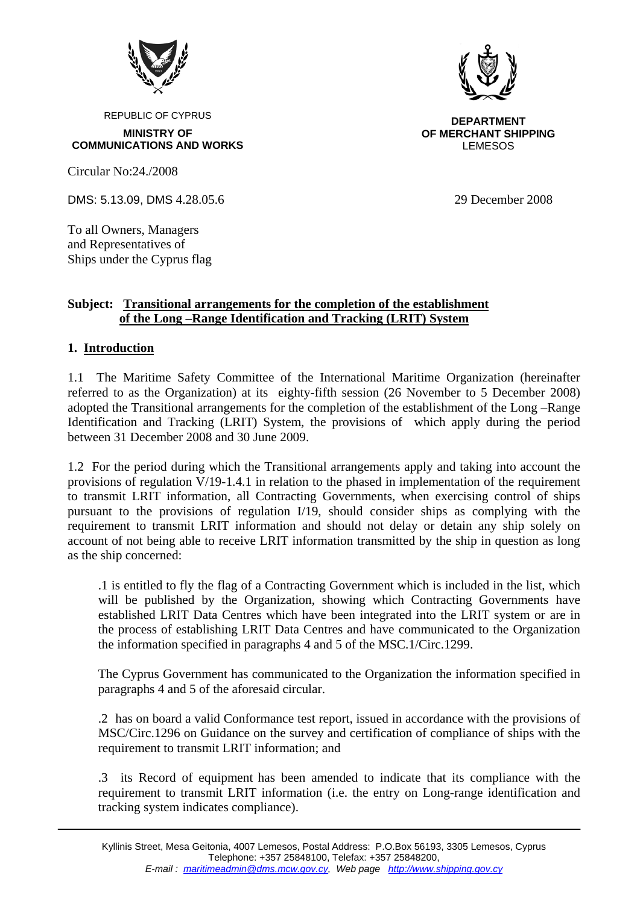

REPUBLIC OF CYPRUS

**MINISTRY OF COMMUNICATIONS AND WORKS** 

Circular No:24./2008

DMS: 5.13.09, DMS 4.28.05.6 29 December 2008

To all Owners, Managers and Representatives of Ships under the Cyprus flag

### **Subject: Transitional arrangements for the completion of the establishment of the Long –Range Identification and Tracking (LRIT) System**

# **1. Introduction**

1.1 The Maritime Safety Committee of the International Maritime Organization (hereinafter referred to as the Organization) at its eighty-fifth session (26 November to 5 December 2008) adopted the Transitional arrangements for the completion of the establishment of the Long –Range Identification and Tracking (LRIT) System, the provisions of which apply during the period between 31 December 2008 and 30 June 2009.

1.2 For the period during which the Transitional arrangements apply and taking into account the provisions of regulation V/19-1.4.1 in relation to the phased in implementation of the requirement to transmit LRIT information, all Contracting Governments, when exercising control of ships pursuant to the provisions of regulation I/19, should consider ships as complying with the requirement to transmit LRIT information and should not delay or detain any ship solely on account of not being able to receive LRIT information transmitted by the ship in question as long as the ship concerned:

.1 is entitled to fly the flag of a Contracting Government which is included in the list, which will be published by the Organization, showing which Contracting Governments have established LRIT Data Centres which have been integrated into the LRIT system or are in the process of establishing LRIT Data Centres and have communicated to the Organization the information specified in paragraphs 4 and 5 of the MSC.1/Circ.1299.

The Cyprus Government has communicated to the Organization the information specified in paragraphs 4 and 5 of the aforesaid circular.

.2 has on board a valid Conformance test report, issued in accordance with the provisions of MSC/Circ.1296 on Guidance on the survey and certification of compliance of ships with the requirement to transmit LRIT information; and

.3 its Record of equipment has been amended to indicate that its compliance with the requirement to transmit LRIT information (i.e. the entry on Long-range identification and tracking system indicates compliance).



**DEPARTMENT OF MERCHANT SHIPPING** LEMESOS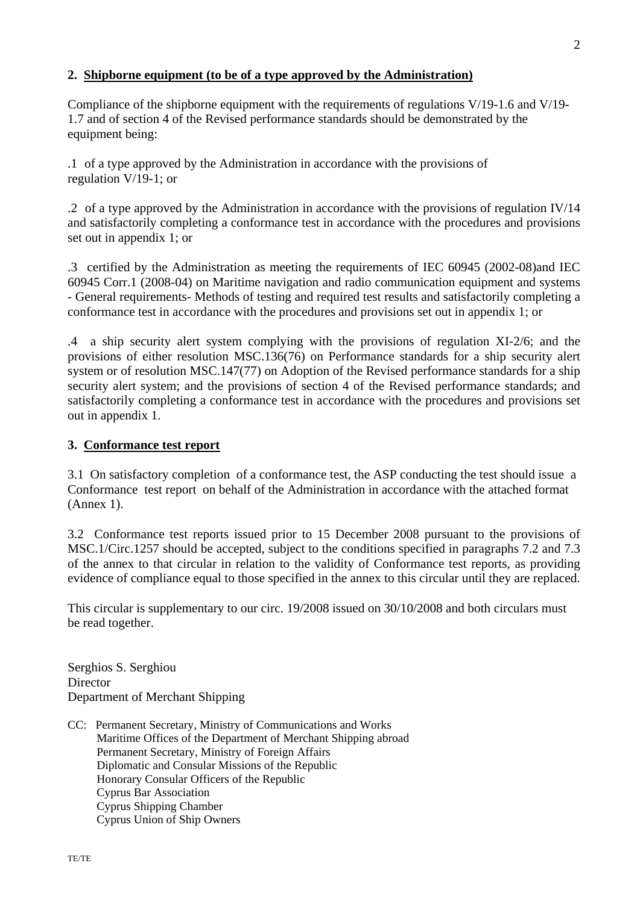## **2. Shipborne equipment (to be of a type approved by the Administration)**

Compliance of the shipborne equipment with the requirements of regulations V/19-1.6 and V/19- 1.7 and of section 4 of the Revised performance standards should be demonstrated by the equipment being:

.1 of a type approved by the Administration in accordance with the provisions of regulation V/19-1; or

.2 of a type approved by the Administration in accordance with the provisions of regulation IV/14 and satisfactorily completing a conformance test in accordance with the procedures and provisions set out in appendix 1; or

.3 certified by the Administration as meeting the requirements of IEC 60945 (2002-08)and IEC 60945 Corr.1 (2008-04) on Maritime navigation and radio communication equipment and systems - General requirements- Methods of testing and required test results and satisfactorily completing a conformance test in accordance with the procedures and provisions set out in appendix 1; or

.4 a ship security alert system complying with the provisions of regulation XI-2/6; and the provisions of either resolution MSC.136(76) on Performance standards for a ship security alert system or of resolution MSC.147(77) on Adoption of the Revised performance standards for a ship security alert system; and the provisions of section 4 of the Revised performance standards; and satisfactorily completing a conformance test in accordance with the procedures and provisions set out in appendix 1.

### **3. Conformance test report**

3.1 On satisfactory completion of a conformance test, the ASP conducting the test should issue a Conformance test report on behalf of the Administration in accordance with the attached format (Annex 1).

3.2 Conformance test reports issued prior to 15 December 2008 pursuant to the provisions of MSC.1/Circ.1257 should be accepted, subject to the conditions specified in paragraphs 7.2 and 7.3 of the annex to that circular in relation to the validity of Conformance test reports, as providing evidence of compliance equal to those specified in the annex to this circular until they are replaced.

This circular is supplementary to our circ. 19/2008 issued on 30/10/2008 and both circulars must be read together.

Serghios S. Serghiou **Director** Department of Merchant Shipping

CC: Permanent Secretary, Ministry of Communications and Works Maritime Offices of the Department of Merchant Shipping abroad Permanent Secretary, Ministry of Foreign Affairs Diplomatic and Consular Missions of the Republic Honorary Consular Officers of the Republic Cyprus Bar Association Cyprus Shipping Chamber Cyprus Union of Ship Owners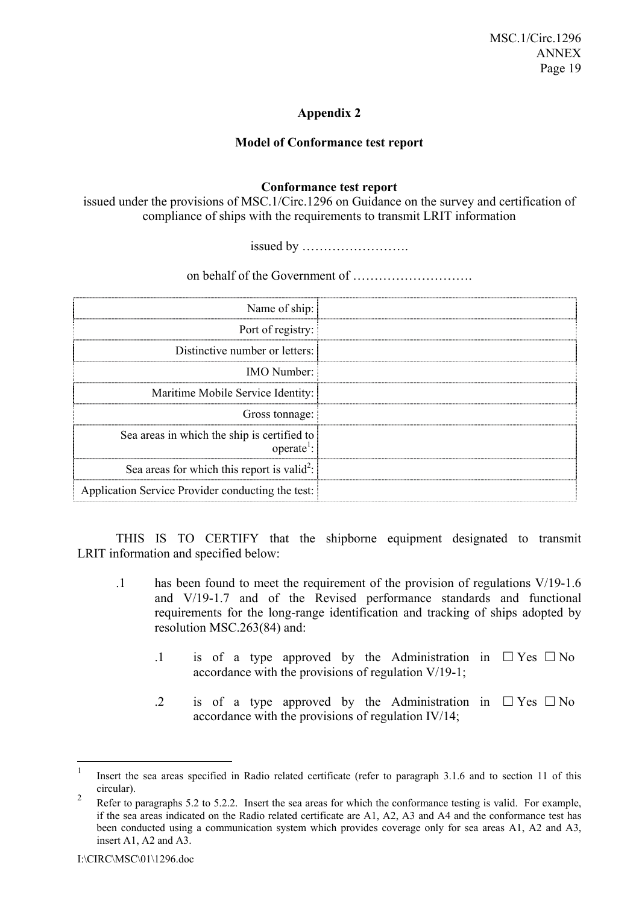## **Appendix 2**

#### **Model of Conformance test report**

#### **Conformance test report**

issued under the provisions of MSC.1/Circ.1296 on Guidance on the survey and certification of compliance of ships with the requirements to transmit LRIT information

issued by ÖÖÖÖÖÖÖÖ.

on behalf of the Government of ÖÖÖÖÖÖÖÖÖ.

| Name of ship:                                                         |  |
|-----------------------------------------------------------------------|--|
| Port of registry:                                                     |  |
| Distinctive number or letters:                                        |  |
| <b>IMO</b> Number:                                                    |  |
| Maritime Mobile Service Identity:                                     |  |
| Gross tonnage:                                                        |  |
| Sea areas in which the ship is certified to<br>operate <sup>1</sup> : |  |
| Sea areas for which this report is valid <sup>2</sup> :               |  |
| Application Service Provider conducting the test:                     |  |

THIS IS TO CERTIFY that the shipborne equipment designated to transmit LRIT information and specified below:

- .1 has been found to meet the requirement of the provision of regulations V/19-1.6 and V/19-1.7 and of the Revised performance standards and functional requirements for the long-range identification and tracking of ships adopted by resolution MSC.263(84) and:
	- .1 is of a type approved by the Administration in  $\Box$  Yes  $\Box$  No accordance with the provisions of regulation V/19-1;
	- .2 is of a type approved by the Administration in  $\Box$  Yes  $\Box$  No accordance with the provisions of regulation IV/14;

 $\frac{1}{1}$  Insert the sea areas specified in Radio related certificate (refer to paragraph 3.1.6 and to section 11 of this circular).  $\overline{2}$ 

Refer to paragraphs 5.2 to 5.2.2. Insert the sea areas for which the conformance testing is valid. For example, if the sea areas indicated on the Radio related certificate are A1, A2, A3 and A4 and the conformance test has been conducted using a communication system which provides coverage only for sea areas A1, A2 and A3, insert A1, A2 and A3.